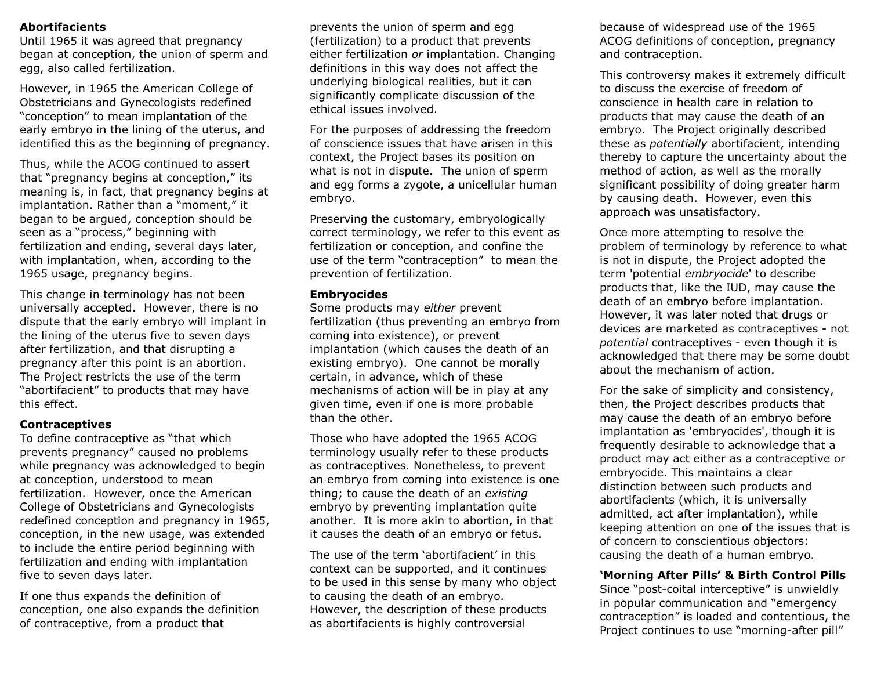### **Abortifacients**

Until 1965 it was agreed that pregnancy began at conception, the union of sperm and egg, also called fertilization.

However, in 1965 the American College of Obstetricians and Gynecologists redefined "conception" to mean implantation of the early embryo in the lining of the uterus, and identified this as the beginning of pregnancy.

Thus, while the ACOG continued to assert that "pregnancy begins at conception," its meaning is, in fact, that pregnancy begins at implantation. Rather than a "moment," it began to be argued, conception should be seen as a "process," beginning with fertilization and ending, several days later, with implantation, when, according to the 1965 usage, pregnancy begins.

This change in terminology has not been universally accepted. However, there is no dispute that the early embryo will implant in the lining of the uterus five to seven days after fertilization, and that disrupting a pregnancy after this point is an abortion. The Project restricts the use of the term "abortifacient" to products that may have this effect.

#### **Contraceptives**

To define contraceptive as "that which prevents pregnancy" caused no problems while pregnancy was acknowledged to begin at conception, understood to mean fertilization. However, once the American College of Obstetricians and Gynecologists redefined conception and pregnancy in 1965, conception, in the new usage, was extended to include the entire period beginning with fertilization and ending with implantation five to seven days later.

If one thus expands the definition of conception, one also expands the definition of contraceptive, from a product that

prevents the union of sperm and egg (fertilization) to a product that prevents either fertilization *or* implantation. Changing definitions in this way does not affect the underlying biological realities, but it can significantly complicate discussion of the ethical issues involved.

For the purposes of addressing the freedom of conscience issues that have arisen in this context, the Project bases its position on what is not in dispute. The union of sperm and egg forms a zygote, a unicellular human embryo.

Preserving the customary, embryologically correct terminology, we refer to this event as fertilization or conception, and confine the use of the term "contraception" to mean the prevention of fertilization.

#### **Embryocides**

Some products may *either* prevent fertilization (thus preventing an embryo from coming into existence), or prevent implantation (which causes the death of an existing embryo). One cannot be morally certain, in advance, which of these mechanisms of action will be in play at any given time, even if one is more probable than the other.

Those who have adopted the 1965 ACOG terminology usually refer to these products as contraceptives. Nonetheless, to prevent an embryo from coming into existence is one thing; to cause the death of an *existing* embryo by preventing implantation quite another. It is more akin to abortion, in that it causes the death of an embryo or fetus.

The use of the term 'abortifacient' in this context can be supported, and it continues to be used in this sense by many who object to causing the death of an embryo. However, the description of these products as abortifacients is highly controversial

because of widespread use of the 1965 ACOG definitions of conception, pregnancy and contraception.

This controversy makes it extremely difficult to discuss the exercise of freedom of conscience in health care in relation to products that may cause the death of an embryo. The Project originally described these as *potentially* abortifacient, intending thereby to capture the uncertainty about the method of action, as well as the morally significant possibility of doing greater harm by causing death. However, even this approach was unsatisfactory.

Once more attempting to resolve the problem of terminology by reference to what is not in dispute, the Project adopted the term 'potential *embryocide*' to describe products that, like the IUD, may cause the death of an embryo before implantation. However, it was later noted that drugs or devices are marketed as contraceptives - not *potential* contraceptives - even though it is acknowledged that there may be some doubt about the mechanism of action.

For the sake of simplicity and consistency, then, the Project describes products that may cause the death of an embryo before implantation as 'embryocides', though it is frequently desirable to acknowledge that a product may act either as a contraceptive or embryocide. This maintains a clear distinction between such products and abortifacients (which, it is universally admitted, act after implantation), while keeping attention on one of the issues that is of concern to conscientious objectors: causing the death of a human embryo.

**'Morning After Pills' & Birth Control Pills**

Since "post-coital interceptive" is unwieldly in popular communication and "emergency contraception" is loaded and contentious, the Project continues to use "morning-after pill"